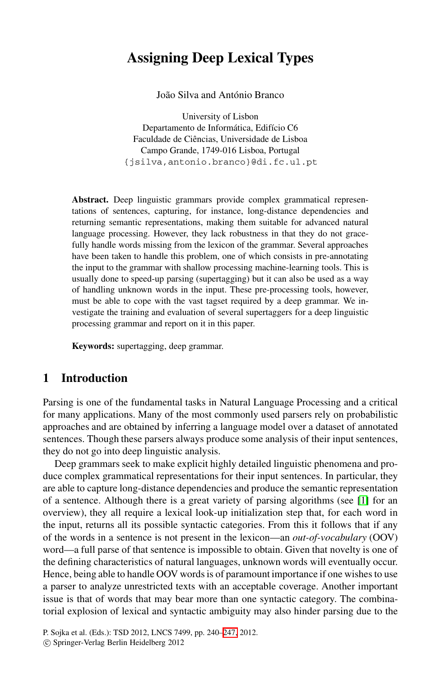# **Assigning Deep Lexical Types**

João Silva and António Branco

University of Lisbon Departamento de Informática, Edifício C6 Faculdade de Ciências, Universidade de Lisboa Campo Grande, 1749-016 Lisboa, Portugal {jsilva,antonio.branco}@di.fc.ul.pt

<span id="page-0-0"></span>**Abstract.** Deep linguistic grammars provide complex grammatical representations of sentences, capturing, for instance, long-distance dependencies and returning semantic representations, making them suitable for advanced natural language processing. However, they lack robustness in that they do not gracefully handle words missing from the lexicon of the grammar. Several approaches have been taken to handle this problem, one of which consists in pre-annotating the input to the grammar with shallow processing machine-learning tools. This is usually done to speed-up parsing (supertagging) but it can also be used as a way of handling unknown words in the input. These pre-processing tools, however, must be able to cope with the vast tagset required by a deep grammar. We investigate the training and evaluation of several supertaggers for a deep linguistic processing grammar and report on it in this paper.

**Keywords:** supertagging, deep grammar.

# **1 Introduction**

Parsing is one of the fundamental tasks in Natural Language Processing and a critical for many applications. Many of the most commonly used parsers rely on probabilistic approaches and are obtained by inferring a language model over a dataset of annotated sentences. Though these parsers always produce some analysis of their input sentences, they do not go into deep linguistic analysis.

Deep grammars seek to make explicit highly detailed linguistic phenomena and produce complex grammatical representations for their input sentences. In particular, they are able to capture long-distance dependencies and produce the semantic representation of a sentence. Although there is a great variety of parsing algorithms (see [\[1\]](#page-6-0) for an overview), they all require a lexical look-up initialization step that, for each word in the input, returns all its possible syntactic categories. From this it follows that if any of the words in a sentence is not present in the lexicon—an *out-of-vocabulary* (OOV) word—a full parse of that sentence is impossible to obtain. Given that novelty is one of the defining characteristics of natural languages, unknown words will eventually occur. Hence, being able to handle OOV words is of paramount importance if one wishes to use a parser to analyze unrestricted texts with an acceptable coverage. Another important issue is that of words that may bear more than one syntactic category. The combinatorial explosion of lexical and syntactic ambiguity may also hinder parsing due to the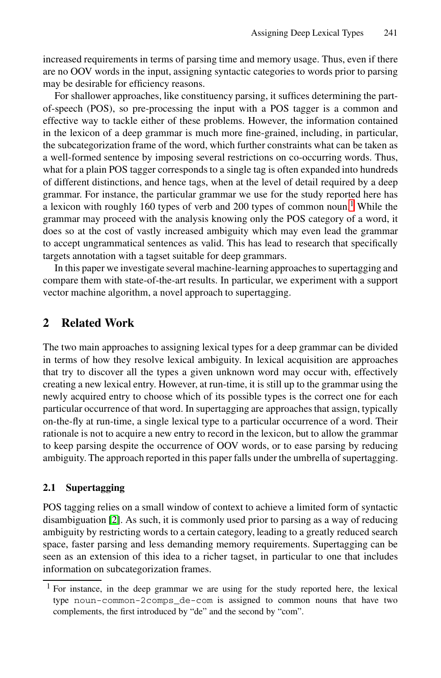increased requirements in terms of parsing time and memory usage. Thus, even if there are no OOV words in the input, assigning syntactic categories to words prior to parsing may be desirable for efficiency reasons.

For shallower approaches, like constituency parsing, it suffices determining the partof-speech (POS), so pre-processing the input with a POS tagger is a common and effective way to tackle either of these problems. However, the information contained in the lexicon of a deep grammar is much more fine-grained, including, in particular, the subcategorization frame of the word, which further constraints what can be taken as a well-formed sentence by imposing several restrictions on co-occurring words. Thus, what for a plain POS tagger corresponds to a single tag is often expanded into hundreds of different distinctions, and hence tags, when at the level of detail required by a deep grammar. For instance, the particular grammar we use for the study reported here has a lexicon with roughly 160 types of verb and 200 types of common noun.<sup>1</sup> While the grammar may proceed with the analysis knowing only the POS category of a word, it does so at the cost of vastly increased ambiguity which may even lead the grammar to accept ungrammatical sentences as valid. This has lead to research that specifically targets annotation with a tagset suitable for deep grammars.

In this paper we investigate several machine-learning approaches to supertagging and compare them with state-of-the-art results. In particular, we experiment with a support vector machine algorithm, a novel approach to supertagging.

### **2 Related Work**

The two main approaches to assigning lexical types for a deep grammar can be divided in terms of how they resolve lexical ambiguity. In lexical acquisition are approaches that try to discover all the types a given unknown word may occur with, effectively creating a new lexical entry. However, at run-time, it is still up to the grammar using the newly acquired entry to choose which of its possible types is the correct one for each particular occurrence of that word. In supertagging are approaches that assign, typically on-the-fly at run-time, a single lexical type to a particular occurrence of a word. Their rationale is not to acquire a new entry to record in the lexicon, but to allow the grammar to keep parsing despite the occurrence of OOV words, or to ease parsing by reducing ambiguity. The approach reported in this paper falls under the umbrella of supertagging.

#### **2.1 Supertagging**

<span id="page-1-0"></span>POS tagging relies on a small window of context to achieve a limited form of syntactic disambiguation [\[2\]](#page-6-1). As such, it is commonly used prior to parsing as a way of reducing ambiguity by restricting words to a certain category, leading to a greatly reduced search space, faster parsing and less demanding memory requirements. Supertagging can be seen as an extension of this idea to a richer tagset, in particular to one that includes information on subcategorization frames.

<sup>&</sup>lt;sup>1</sup> For instance, in the deep grammar we are using for the study reported here, the lexical type noun-common-2comps\_de-com is assigned to common nouns that have two complements, the first introduced by "de" and the second by "com".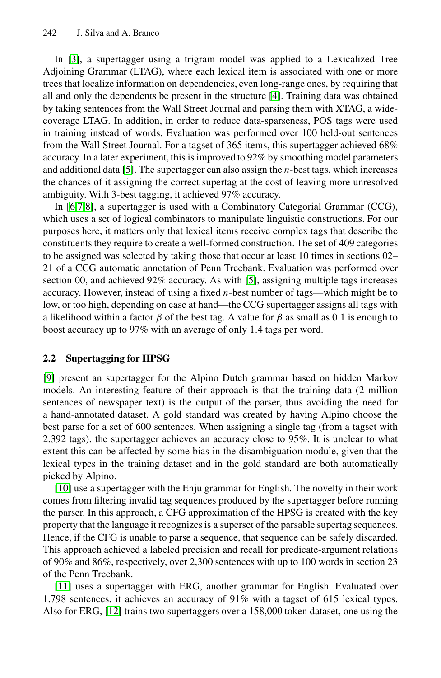In [\[3\]](#page-7-1), a supertagger using a trigram model was applied to a Lexicalized Tree Adjoining Grammar (LTAG), where each lexical item is associated with one or more trees that localize information on dependencies, even long-range ones, by requiring that all and only the dependents be present in the structure [\[4\]](#page-7-2). Training data was obtained by taking sentences from the Wall Street Journal and parsing them with XTAG, a widecoverage LTAG. In addition, in order to reduce data-sparseness, POS tags were used in training instead of words. Evaluation was performed over 100 held-out sentences from the Wall Street Journal. For a tagset of 365 items, this supertagger achieved 68% accuracy. In a later experiment, this is improved to 92% by smoothing model parameters and additional data [\[5\]](#page-7-3). The supertagger can also assign the *n*-best tags, which increases the chances of it assigning the correct supertag at the cost of leaving more unresolved ambiguity. With 3-best tagging, it achieved 97% accuracy.

In [\[6,](#page-7-4)[7,](#page-7-5)[8\]](#page-7-6), a supertagger is used with a Combinatory Categorial Grammar (CCG), which uses a set of logical combinators to manipulate linguistic constructions. For our purposes here, it matters only that lexical items receive complex tags that describe the constituents they require to create a well-formed construction. The set of 409 categories to be assigned was selected by taking those that occur at least 10 times in sections 02– 21 of a CCG automatic annotation of Penn Treebank. Evaluation was performed over section 00, and achieved 92% accuracy. As with [\[5\]](#page-7-3), assigning multiple tags increases accuracy. However, instead of using a fixed *n*-best number of tags—which might be to low, or too high, depending on case at hand—the CCG supertagger assigns all tags with a likelihood within a factor  $\beta$  of the best tag. A value for  $\beta$  as small as 0.1 is enough to boost accuracy up to 97% with an average of only 1.4 tags per word.

#### **2.2 Supertagging for HPSG**

[\[9\]](#page-7-7) present an supertagger for the Alpino Dutch grammar based on hidden Markov models. An interesting feature of their approach is that the training data (2 million sentences of newspaper text) is the output of the parser, thus avoiding the need for a hand-annotated dataset. A gold standard was created by having Alpino choose the best parse for a set of 600 sentences. When assigning a single tag (from a tagset with 2,392 tags), the supertagger achieves an accuracy close to 95%. It is unclear to what extent this can be affected by some bias in the disambiguation module, given that the lexical types in the training dataset and in the gold standard are both automatically picked by Alpino.

[\[10\]](#page-7-8) use a supertagger with the Enju grammar for English. The novelty in their work comes from filtering invalid tag sequences produced by the supertagger before running the parser. In this approach, a CFG approximation of the HPSG is created with the key property that the language it recognizes is a superset of the parsable supertag sequences. Hence, if the CFG is unable to parse a sequence, that sequence can be safely discarded. This approach achieved a labeled precision and recall for predicate-argument relations of 90% and 86%, respectively, over 2,300 sentences with up to 100 words in section 23 of the Penn Treebank.

[\[11\]](#page-7-9) uses a supertagger with ERG, another grammar for English. Evaluated over 1,798 sentences, it achieves an accuracy of 91% with a tagset of 615 lexical types. Also for ERG, [\[12\]](#page-7-10) trains two supertaggers over a 158,000 token dataset, one using the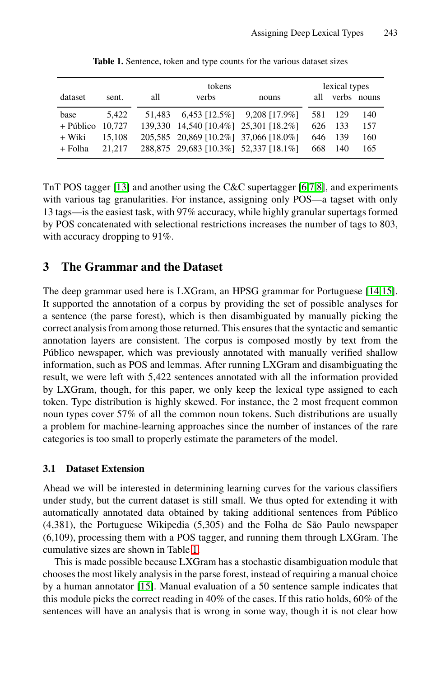|           |        | tokens |                                       |                               | lexical types |     |             |
|-----------|--------|--------|---------------------------------------|-------------------------------|---------------|-----|-------------|
| dataset   | sent.  | all    | verbs                                 | nouns                         | all           |     | verbs nouns |
| base      | 5.422  | 51.483 |                                       | $6,453$ [12.5%] 9.208 [17.9%] | 581           | 129 | 140         |
| + Público | 10.727 |        | 139,330 14,540 [10.4%] 25,301 [18.2%] |                               | 626           | 133 | 157         |
| + Wiki    | 15.108 |        | 205,585 20,869 [10.2%] 37,066 [18.0%] |                               | 646           | 139 | 160         |
| + Folha   | 21.217 |        | 288,875 29,683 [10.3%] 52,337 [18.1%] |                               | 668           | 140 | 165         |

<span id="page-3-0"></span>**Table 1.** Sentence, token and type counts for the various dataset sizes

TnT POS tagger [\[13\]](#page-7-11) and another using the C&C supertagger [\[6](#page-7-4)[,7,](#page-7-5)[8\]](#page-7-6), and experiments with various tag granularities. For instance, assigning only POS—a tagset with only 13 tags—is the easiest task, with 97% accuracy, while highly granular supertags formed by POS concatenated with selectional restrictions increases the number of tags to 803, with accuracy dropping to 91%.

### **3 The Grammar and the Dataset**

<span id="page-3-1"></span>The deep grammar used here is LXGram, an HPSG grammar for Portuguese [\[14](#page-7-12)[,15\]](#page-7-13). It supported the annotation of a corpus by providing the set of possible analyses for a sentence (the parse forest), which is then disambiguated by manually picking the correct analysis from among those returned. This ensures that the syntactic and semantic annotation layers are consistent. The corpus is composed mostly by text from the Público newspaper, which was previously annotated with manually verified shallow information, such as POS and lemmas. After running LXGram and disambiguating the result, we were left with 5,422 sentences annotated with all the information provided by LXGram, though, for this paper, we only keep the lexical type assigned to each token. Type distribution is highly skewed. For instance, the 2 most frequent common noun types cover 57% of all the common noun tokens. Such distributions are usually a problem for machine-learning approaches since the number of instances of the rare categories is too small to properly estimate the parameters of the model.

#### **3.1 Dataset Extension**

Ahead we will be interested in determining learning curves for the various classifiers under study, but the current dataset is still small. We thus opted for extending it with automatically annotated data obtained by taking additional sentences from Público (4,381), the Portuguese Wikipedia (5,305) and the Folha de São Paulo newspaper (6,109), processing them with a POS tagger, and running them through LXGram. The cumulative sizes are shown in Table [1.](#page-3-0)

This is made possible because LXGram has a stochastic disambiguation module that chooses the most likely analysis in the parse forest, instead of requiring a manual choice by a human annotator [\[15\]](#page-7-13). Manual evaluation of a 50 sentence sample indicates that this module picks the correct reading in 40% of the cases. If this ratio holds, 60% of the sentences will have an analysis that is wrong in some way, though it is not clear how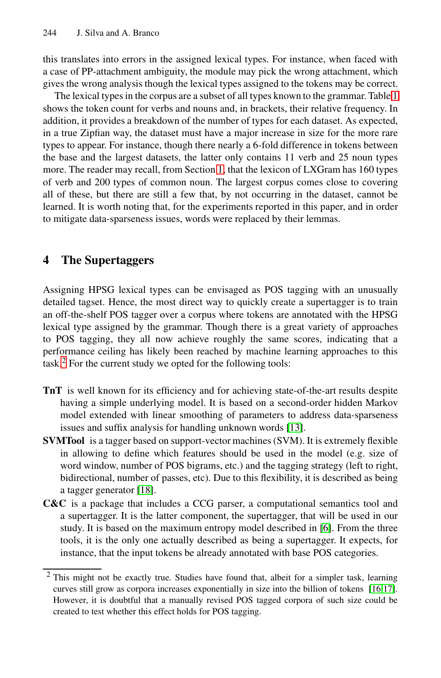this translates into errors in the assigned lexical types. For instance, when faced with a case of PP-attachment ambiguity, the module may pick the wrong attachment, which gives the wrong analysis though the lexical types assigned to the tokens may be correct.

The lexical types in the corpus are a subset of all types known to the grammar. Table [1](#page-3-0) shows the token count for verbs and nouns and, in brackets, their relative frequency. In addition, it provides a breakdown of the number of types for each dataset. As expected, in a true Zipfian way, the dataset must have a major increase in size for the more rare types to appear. For instance, though there nearly a 6-fold difference in tokens between the base and the largest datasets, the latter only contains 11 verb and 25 noun types more. The reader may recall, from Section [1,](#page-0-0) that the lexicon of LXGram has 160 types of verb and 200 types of common noun. The largest corpus comes close to covering all of these, but there are still a few that, by not occurring in the dataset, cannot be learned. It is worth noting that, for the experiments reported in this paper, and in order to mitigate data-sparseness issues, words were replaced by their lemmas.

# **4 The Supertaggers**

Assigning HPSG lexical types can be envisaged as POS tagging with an unusually detailed tagset. Hence, the most direct way to quickly create a supertagger is to train an off-the-shelf POS tagger over a corpus where tokens are annotated with the HPSG lexical type assigned by the grammar. Though there is a great variety of approaches to POS tagging, they all now achieve roughly the same scores, indicating that a performance ceiling has likely been reached by machine learning approaches to this task.[2](#page-4-0) For the current study we opted for the following tools:

- **TnT** is well known for its efficiency and for achieving state-of-the-art results despite having a simple underlying model. It is based on a second-order hidden Markov model extended with linear smoothing of parameters to address data-sparseness issues and suffix analysis for handling unknown words [\[13\]](#page-7-11).
- **SVMTool** is a tagger based on support-vector machines (SVM). It is extremely flexible in allowing to define which features should be used in the model (e.g. size of word window, number of POS bigrams, etc.) and the tagging strategy (left to right, bidirectional, number of passes, etc). Due to this flexibility, it is described as being a tagger generator [\[18\]](#page-7-14).
- <span id="page-4-0"></span>**C&C** is a package that includes a CCG parser, a computational semantics tool and a supertagger. It is the latter component, the supertagger, that will be used in our study. It is based on the maximum entropy model described in [\[6\]](#page-7-4). From the three tools, it is the only one actually described as being a supertagger. It expects, for instance, that the input tokens be already annotated with base POS categories.

 $2$  This might not be exactly true. Studies have found that, albeit for a simpler task, learning curves still grow as corpora increases exponentially in size into the billion of tokens [\[16,](#page-7-15)[17\]](#page-7-16). However, it is doubtful that a manually revised POS tagged corpora of such size could be created to test whether this effect holds for POS tagging.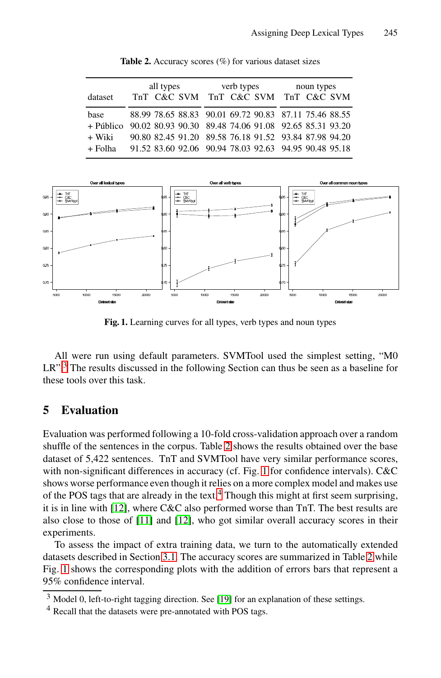| dataset        | all types | verb types<br>TnT C&C SVM TnT C&C SVM TnT C&C SVM                                                                                                                                 | noun types |
|----------------|-----------|-----------------------------------------------------------------------------------------------------------------------------------------------------------------------------------|------------|
| base<br>+ Wiki |           | 88.99 78.65 88.83 90.01 69.72 90.83 87.11 75.46 88.55<br>+ Público 90.02 80.93 90.30 89.48 74.06 91.08 92.65 85.31 93.20<br>90.80 82.45 91.20 89.58 76.18 91.52 93.84 87.98 94.20 |            |
| + Folha        |           | 91.52 83.60 92.06 90.94 78.03 92.63 94.95 90.48 95.18                                                                                                                             |            |

<span id="page-5-1"></span>**Table 2.** Accuracy scores (%) for various dataset sizes



<span id="page-5-2"></span>**Fig. 1.** Learning curves for all types, verb types and noun types

All were run using default parameters. SVMTool used the simplest setting, "M0 LR".<sup>[3](#page-5-0)</sup> The results discussed in the following Section can thus be seen as a baseline for these tools over this task.

### **5 Evaluation**

Evaluation was performed following a 10-fold cross-validation approach over a random shuffle of the sentences in the corpus. Table [2](#page-5-1) shows the results obtained over the base dataset of 5,422 sentences. TnT and SVMTool have very similar performance scores, with non-significant differences in accuracy (cf. Fig. [1](#page-5-2) for confidence intervals). C&C shows worse performance even though it relies on a more complex model and makes use of the POS tags that are already in the text.[4](#page-5-3) Though this might at first seem surprising, it is in line with [\[12\]](#page-7-10), where C&C also performed worse than TnT. The best results are also close to those of [\[11\]](#page-7-9) and [\[12\]](#page-7-10), who got similar overall accuracy scores in their experiments.

<span id="page-5-3"></span><span id="page-5-0"></span>To assess the impact of extra training data, we turn to the automatically extended datasets described in Section [3.1.](#page-3-1) The accuracy scores are summarized in Table [2](#page-5-1) while Fig. [1](#page-5-2) shows the corresponding plots with the addition of errors bars that represent a 95% confidence interval.

<sup>3</sup> Model 0, left-to-right tagging direction. See [\[19\]](#page-7-17) for an explanation of these settings.

<sup>4</sup> Recall that the datasets were pre-annotated with POS tags.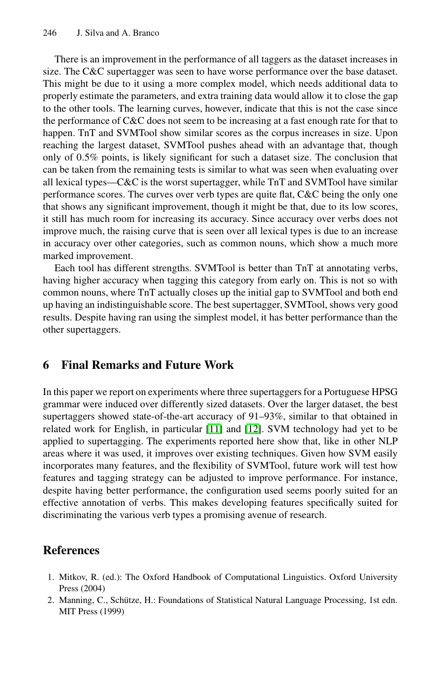There is an improvement in the performance of all taggers as the dataset increases in size. The C&C supertagger was seen to have worse performance over the base dataset. This might be due to it using a more complex model, which needs additional data to properly estimate the parameters, and extra training data would allow it to close the gap to the other tools. The learning curves, however, indicate that this is not the case since the performance of C&C does not seem to be increasing at a fast enough rate for that to happen. TnT and SVMTool show similar scores as the corpus increases in size. Upon reaching the largest dataset, SVMTool pushes ahead with an advantage that, though only of 0.5% points, is likely significant for such a dataset size. The conclusion that can be taken from the remaining tests is similar to what was seen when evaluating over all lexical types—C&C is the worst supertagger, while TnT and SVMTool have similar performance scores. The curves over verb types are quite flat, C&C being the only one that shows any significant improvement, though it might be that, due to its low scores, it still has much room for increasing its accuracy. Since accuracy over verbs does not improve much, the raising curve that is seen over all lexical types is due to an increase in accuracy over other categories, such as common nouns, which show a much more marked improvement.

Each tool has different strengths. SVMTool is better than TnT at annotating verbs, having higher accuracy when tagging this category from early on. This is not so with common nouns, where TnT actually closes up the initial gap to SVMTool and both end up having an indistinguishable score. The best supertagger, SVMTool, shows very good results. Despite having ran using the simplest model, it has better performance than the other supertaggers.

## **6 Final Remarks and Future Work**

In this paper we report on experiments where three supertaggers for a Portuguese HPSG grammar were induced over differently sized datasets. Over the larger dataset, the best supertaggers showed state-of-the-art accuracy of 91–93%, similar to that obtained in related work for English, in particular [\[11\]](#page-7-9) and [\[12\]](#page-7-10). SVM technology had yet to be applied to supertagging. The experiments reported here show that, like in other NLP areas where it was used, it improves over existing techniques. Given how SVM easily incorporates many features, and the flexibility of SVMTool, future work will test how features and tagging strategy can be adjusted to improve performance. For instance, despite having better performance, the configuration used seems poorly suited for an effective annotation of verbs. This makes developing features specifically suited for discriminating the various verb types a promising avenue of research.

# <span id="page-6-1"></span><span id="page-6-0"></span>**References**

- 1. Mitkov, R. (ed.): The Oxford Handbook of Computational Linguistics. Oxford University Press (2004)
- 2. Manning, C., Schütze, H.: Foundations of Statistical Natural Language Processing, 1st edn. MIT Press (1999)